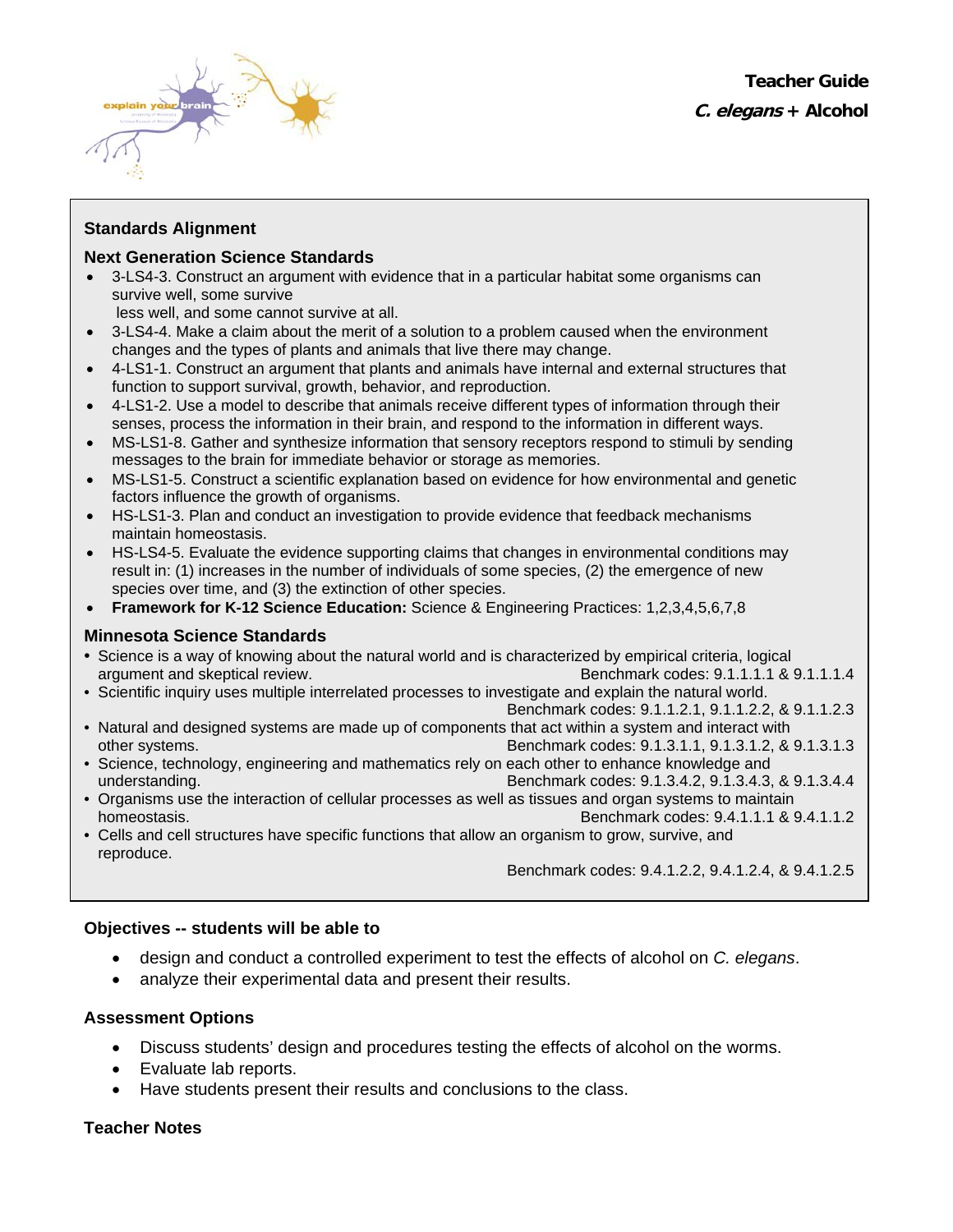

## **Standards Alignment**

### **Next Generation Science Standards**

• 3-LS4-3. Construct an argument with evidence that in a particular habitat some organisms can survive well, some survive

less well, and some cannot survive at all.

- 3-LS4-4. Make a claim about the merit of a solution to a problem caused when the environment changes and the types of plants and animals that live there may change.
- 4-LS1-1. Construct an argument that plants and animals have internal and external structures that function to support survival, growth, behavior, and reproduction.
- 4-LS1-2. Use a model to describe that animals receive different types of information through their senses, process the information in their brain, and respond to the information in different ways.
- MS-LS1-8. Gather and synthesize information that sensory receptors respond to stimuli by sending messages to the brain for immediate behavior or storage as memories.
- MS-LS1-5. Construct a scientific explanation based on evidence for how environmental and genetic factors influence the growth of organisms.
- HS-LS1-3. Plan and conduct an investigation to provide evidence that feedback mechanisms maintain homeostasis.
- HS-LS4-5. Evaluate the evidence supporting claims that changes in environmental conditions may result in: (1) increases in the number of individuals of some species, (2) the emergence of new species over time, and (3) the extinction of other species.
- **Framework for K-12 Science Education:** Science & Engineering Practices: 1,2,3,4,5,6,7,8

## **Minnesota Science Standards**

- Science is a way of knowing about the natural world and is characterized by empirical criteria, logical argument and skeptical review. Benchmark codes: 9.1.1.1.1 & 9.1.1.1.4
- Scientific inquiry uses multiple interrelated processes to investigate and explain the natural world.
- Benchmark codes: 9.1.1.2.1, 9.1.1.2.2, & 9.1.1.2.3 • Natural and designed systems are made up of components that act within a system and interact with other systems. Benchmark codes: 9.1.3.1.1, 9.1.3.1.2, & 9.1.3.1.3
- Science, technology, engineering and mathematics rely on each other to enhance knowledge and understanding. Benchmark codes: 9.1.3.4.2, 9.1.3.4.3, & 9.1.3.4.4
- Organisms use the interaction of cellular processes as well as tissues and organ systems to maintain homeostasis. **Benchmark codes: 9.4.1.1.1 & 9.4.1.1.2**
- Cells and cell structures have specific functions that allow an organism to grow, survive, and reproduce.

Benchmark codes: 9.4.1.2.2, 9.4.1.2.4, & 9.4.1.2.5

## **Objectives -- students will be able to**

- design and conduct a controlled experiment to test the effects of alcohol on *C. elegans*.
- analyze their experimental data and present their results.

## **Assessment Options**

- Discuss students' design and procedures testing the effects of alcohol on the worms.
- Evaluate lab reports.
- Have students present their results and conclusions to the class.

## **Teacher Notes**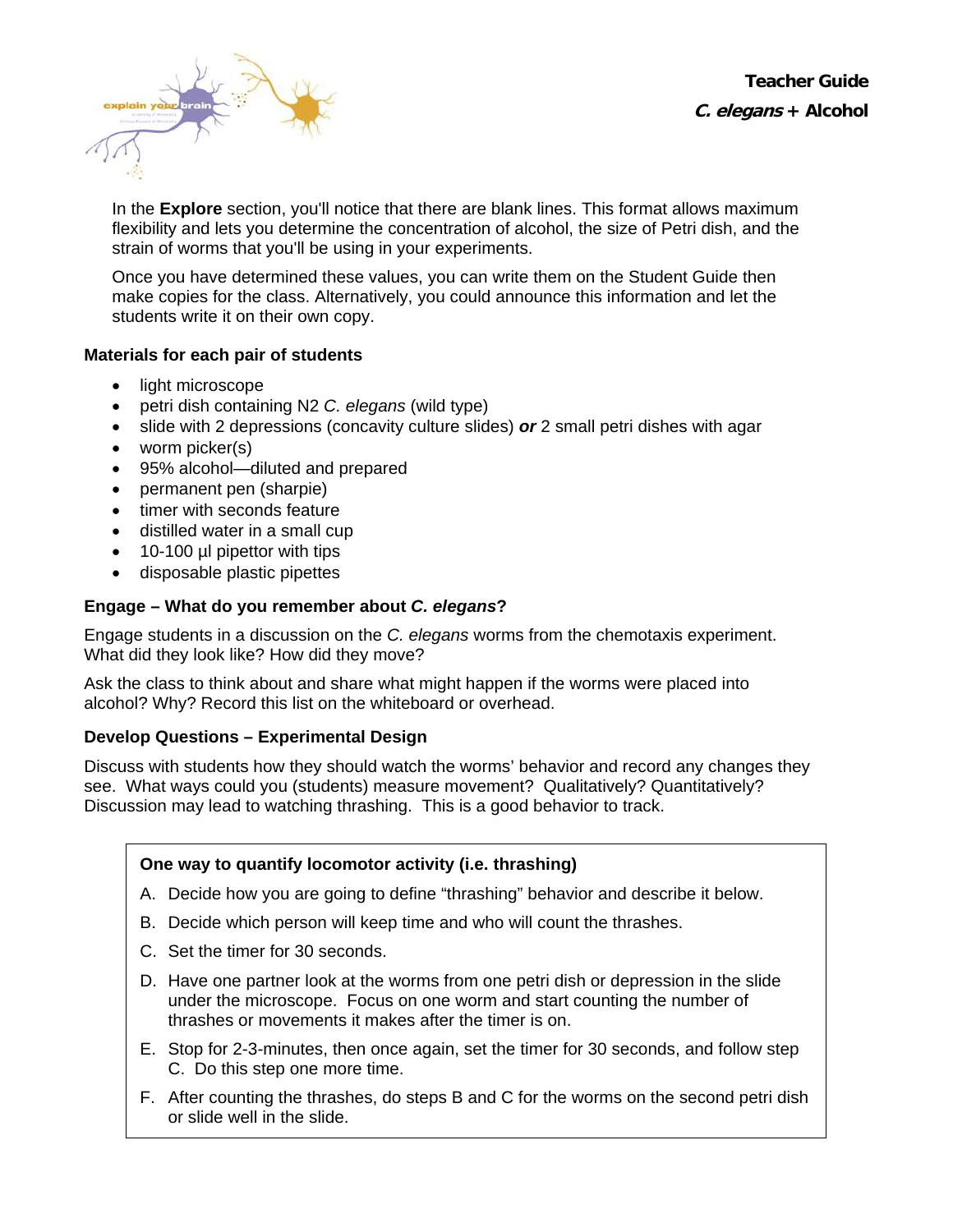**Teacher Guide C. elegans + Alcohol**



In the **Explore** section, you'll notice that there are blank lines. This format allows maximum flexibility and lets you determine the concentration of alcohol, the size of Petri dish, and the strain of worms that you'll be using in your experiments.

Once you have determined these values, you can write them on the Student Guide then make copies for the class. Alternatively, you could announce this information and let the students write it on their own copy.

## **Materials for each pair of students**

- light microscope
- petri dish containing N2 *C. elegans* (wild type)
- slide with 2 depressions (concavity culture slides) *or* 2 small petri dishes with agar
- worm picker(s)
- 95% alcohol—diluted and prepared
- permanent pen (sharpie)
- timer with seconds feature
- distilled water in a small cup
- 10-100 µl pipettor with tips
- disposable plastic pipettes

# **Engage – What do you remember about** *C. elegans***?**

Engage students in a discussion on the *C. elegans* worms from the chemotaxis experiment. What did they look like? How did they move?

Ask the class to think about and share what might happen if the worms were placed into alcohol? Why? Record this list on the whiteboard or overhead.

## **Develop Questions – Experimental Design**

Discuss with students how they should watch the worms' behavior and record any changes they see. What ways could you (students) measure movement? Qualitatively? Quantitatively? Discussion may lead to watching thrashing. This is a good behavior to track.

# **One way to quantify locomotor activity (i.e. thrashing)**

- A. Decide how you are going to define "thrashing" behavior and describe it below.
- B. Decide which person will keep time and who will count the thrashes.
- C. Set the timer for 30 seconds.
- D. Have one partner look at the worms from one petri dish or depression in the slide under the microscope. Focus on one worm and start counting the number of thrashes or movements it makes after the timer is on.
- E. Stop for 2-3-minutes, then once again, set the timer for 30 seconds, and follow step C. Do this step one more time.
- F. After counting the thrashes, do steps B and C for the worms on the second petri dish or slide well in the slide.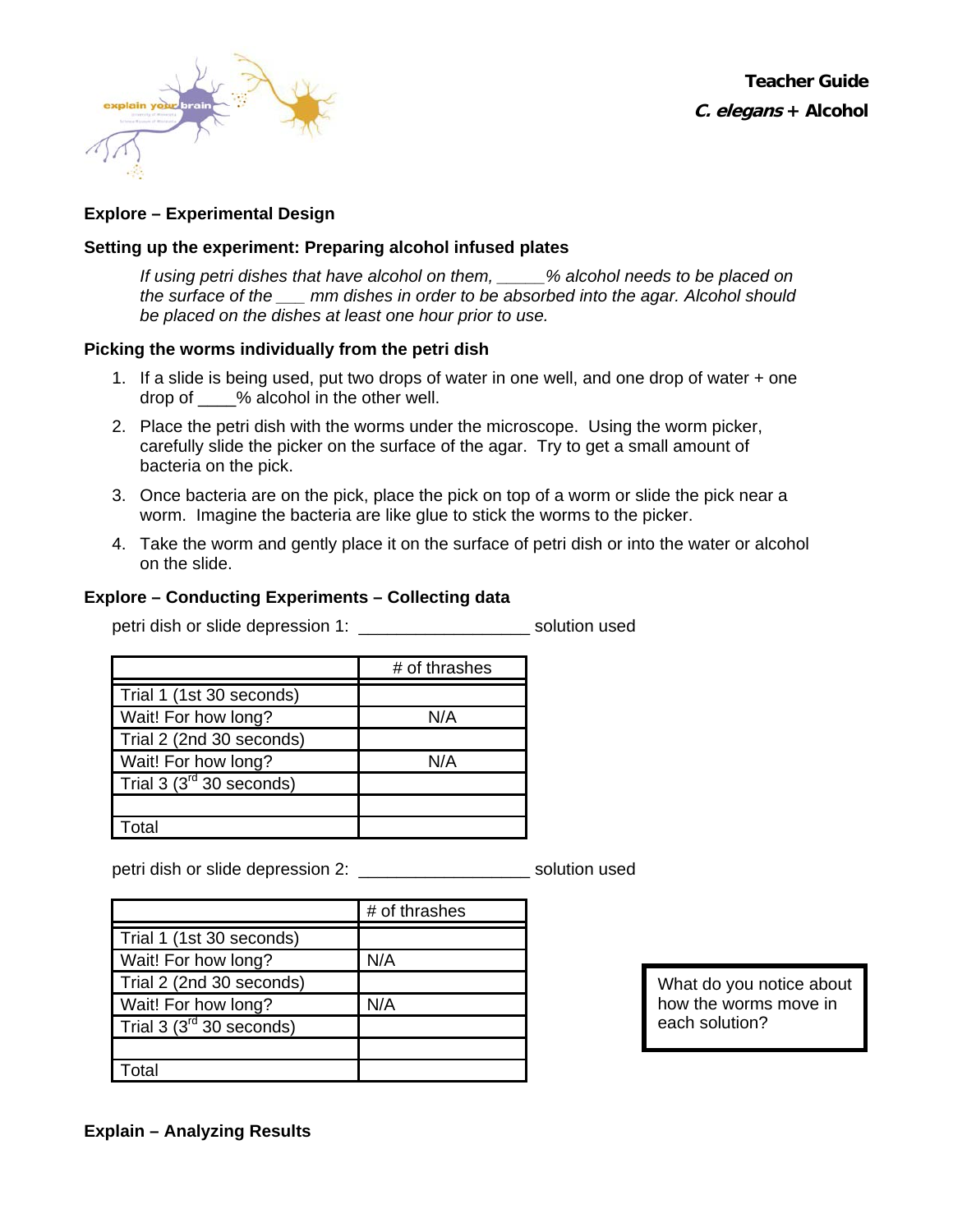

**Teacher Guide C. elegans + Alcohol**

### **Explore – Experimental Design**

### **Setting up the experiment: Preparing alcohol infused plates**

*If using petri dishes that have alcohol on them, \_\_\_\_\_% alcohol needs to be placed on the surface of the \_\_\_ mm dishes in order to be absorbed into the agar. Alcohol should be placed on the dishes at least one hour prior to use.* 

#### **Picking the worms individually from the petri dish**

- 1. If a slide is being used, put two drops of water in one well, and one drop of water + one drop of  $\%$  alcohol in the other well.
- 2. Place the petri dish with the worms under the microscope. Using the worm picker, carefully slide the picker on the surface of the agar. Try to get a small amount of bacteria on the pick.
- 3. Once bacteria are on the pick, place the pick on top of a worm or slide the pick near a worm. Imagine the bacteria are like glue to stick the worms to the picker.
- 4. Take the worm and gently place it on the surface of petri dish or into the water or alcohol on the slide.

#### **Explore – Conducting Experiments – Collecting data**

petri dish or slide depression 1: \_\_\_\_\_\_\_\_\_\_\_\_\_\_\_\_\_\_ solution used

|                               | # of thrashes |
|-------------------------------|---------------|
| Trial 1 (1st 30 seconds)      |               |
| Wait! For how long?           | N/A           |
| Trial 2 (2nd 30 seconds)      |               |
| Wait! For how long?           | N/A           |
| Trial 3 $(3^{rd}$ 30 seconds) |               |
|                               |               |
| Гоtal                         |               |

petri dish or slide depression 2: \_\_\_\_\_\_\_\_\_\_\_\_\_\_\_\_\_\_\_\_\_\_\_\_ solution used

|                               | # of thrashes |
|-------------------------------|---------------|
| Trial 1 (1st 30 seconds)      |               |
| Wait! For how long?           | N/A           |
| Trial 2 (2nd 30 seconds)      |               |
| Wait! For how long?           | N/A           |
| Trial 3 $(3^{rd}$ 30 seconds) |               |
|                               |               |
| Total                         |               |
|                               |               |

What do you notice about how the worms move in each solution?

**Explain – Analyzing Results**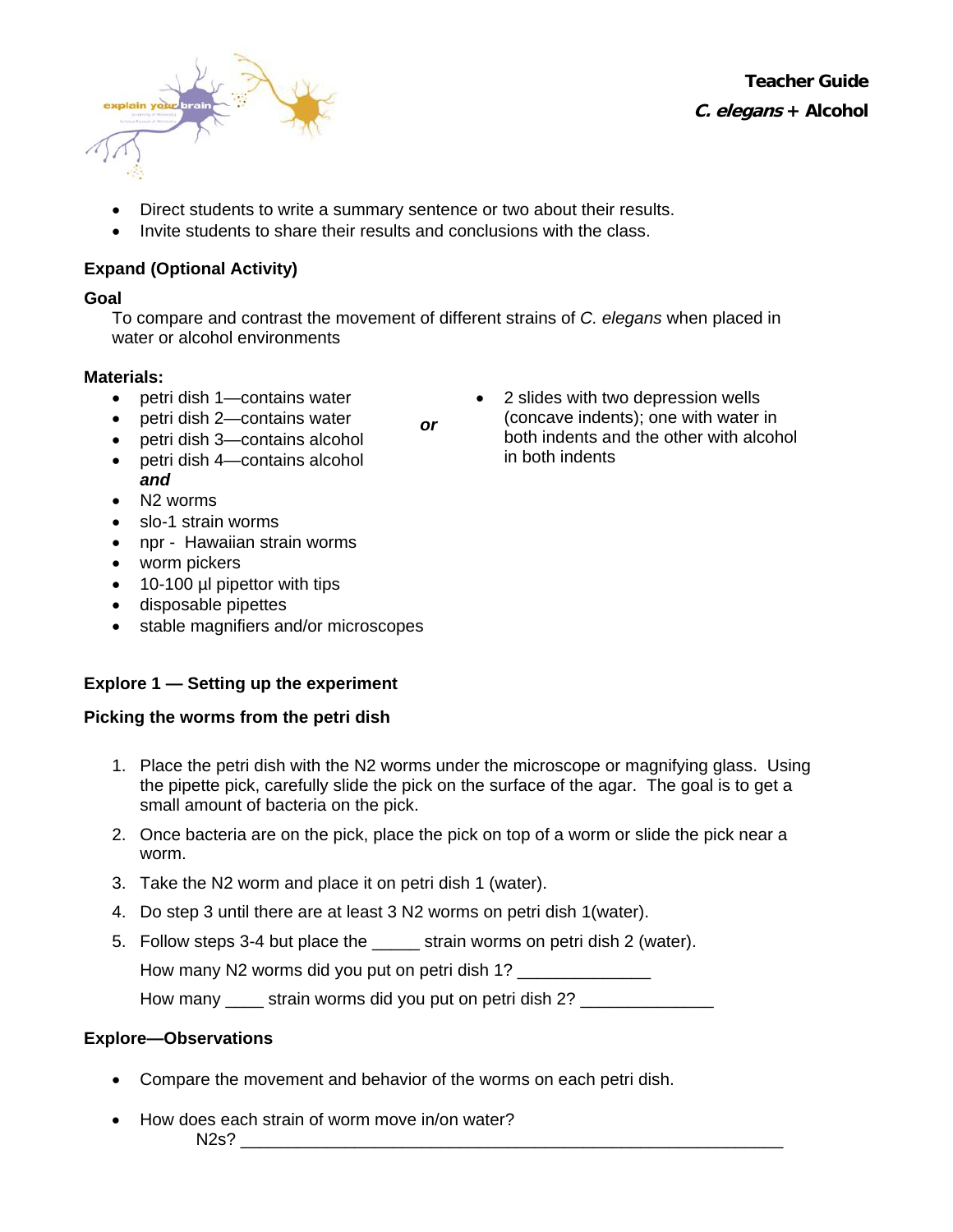

**Teacher Guide C. elegans + Alcohol**

- Direct students to write a summary sentence or two about their results.
- Invite students to share their results and conclusions with the class.

# **Expand (Optional Activity)**

### **Goal**

To compare and contrast the movement of different strains of *C. elegans* when placed in water or alcohol environments

*or*

## **Materials:**

- petri dish 1—contains water
- petri dish 2—contains water
- petri dish 3—contains alcohol
- petri dish 4—contains alcohol *and*
- N2 worms
- slo-1 strain worms
- npr Hawaiian strain worms
- worm pickers
- 10-100 µl pipettor with tips
- disposable pipettes
- stable magnifiers and/or microscopes

# **Explore 1 — Setting up the experiment**

## **Picking the worms from the petri dish**

- 1. Place the petri dish with the N2 worms under the microscope or magnifying glass. Using the pipette pick, carefully slide the pick on the surface of the agar. The goal is to get a small amount of bacteria on the pick.
- 2. Once bacteria are on the pick, place the pick on top of a worm or slide the pick near a worm.
- 3. Take the N2 worm and place it on petri dish 1 (water).
- 4. Do step 3 until there are at least 3 N2 worms on petri dish 1(water).
- 5. Follow steps 3-4 but place the \_\_\_\_\_ strain worms on petri dish 2 (water).

How many N2 worms did you put on petri dish 1?

How many \_\_\_\_\_ strain worms did you put on petri dish 2? \_\_\_\_\_\_\_\_\_\_\_\_\_\_\_\_\_

## **Explore—Observations**

- Compare the movement and behavior of the worms on each petri dish.
- How does each strain of worm move in/on water?  $N2s$ ?

2 slides with two depression wells (concave indents); one with water in both indents and the other with alcohol in both indents